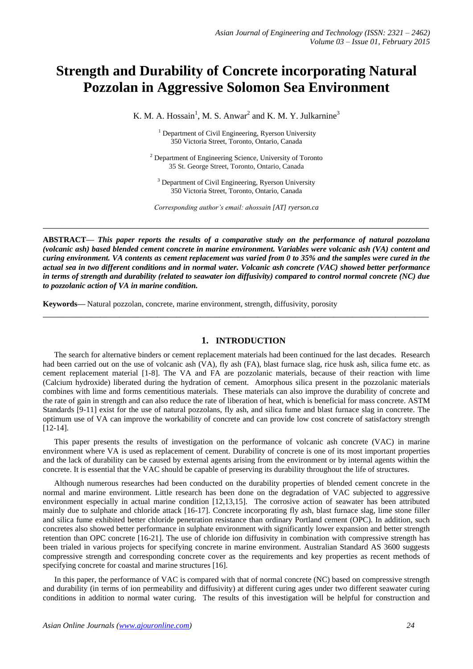# **Strength and Durability of Concrete incorporating Natural Pozzolan in Aggressive Solomon Sea Environment**

K. M. A. Hossain<sup>1</sup>, M. S. Anwar<sup>2</sup> and K. M. Y. Julkarnine<sup>3</sup>

<sup>1</sup> Department of Civil Engineering, Ryerson University 350 Victoria Street, Toronto, Ontario, Canada

<sup>2</sup> Department of Engineering Science, University of Toronto 35 St. George Street, Toronto, Ontario, Canada

<sup>3</sup> Department of Civil Engineering, Ryerson University 350 Victoria Street, Toronto, Ontario, Canada

*Corresponding author's email: ahossain [AT] ryerson.ca*

**\_\_\_\_\_\_\_\_\_\_\_\_\_\_\_\_\_\_\_\_\_\_\_\_\_\_\_\_\_\_\_\_\_\_\_\_\_\_\_\_\_\_\_\_\_\_\_\_\_\_\_\_\_\_\_\_\_\_\_\_\_\_\_\_\_\_\_\_\_\_\_\_\_\_\_\_\_\_\_\_\_**

**ABSTRACT—** *This paper reports the results of a comparative study on the performance of natural pozzolana (volcanic ash) based blended cement concrete in marine environment. Variables were volcanic ash (VA) content and curing environment. VA contents as cement replacement was varied from 0 to 35% and the samples were cured in the actual sea in two different conditions and in normal water. Volcanic ash concrete (VAC) showed better performance in terms of strength and durability (related to seawater ion diffusivity) compared to control normal concrete (NC) due to pozzolanic action of VA in marine condition.*

**\_\_\_\_\_\_\_\_\_\_\_\_\_\_\_\_\_\_\_\_\_\_\_\_\_\_\_\_\_\_\_\_\_\_\_\_\_\_\_\_\_\_\_\_\_\_\_\_\_\_\_\_\_\_\_\_\_\_\_\_\_\_\_\_\_\_\_\_\_\_\_\_\_\_\_\_\_\_\_\_\_**

**Keywords—** Natural pozzolan, concrete, marine environment, strength, diffusivity, porosity

## **1. INTRODUCTION**

The search for alternative binders or cement replacement materials had been continued for the last decades. Research had been carried out on the use of volcanic ash (VA), fly ash (FA), blast furnace slag, rice husk ash, silica fume etc. as cement replacement material [1-8]. The VA and FA are pozzolanic materials, because of their reaction with lime (Calcium hydroxide) liberated during the hydration of cement. Amorphous silica present in the pozzolanic materials combines with lime and forms cementitious materials. These materials can also improve the durability of concrete and the rate of gain in strength and can also reduce the rate of liberation of heat, which is beneficial for mass concrete. ASTM Standards [9-11] exist for the use of natural pozzolans, fly ash, and silica fume and blast furnace slag in concrete*.* The optimum use of VA can improve the workability of concrete and can provide low cost concrete of satisfactory strength [12-14].

This paper presents the results of investigation on the performance of volcanic ash concrete (VAC) in marine environment where VA is used as replacement of cement. Durability of concrete is one of its most important properties and the lack of durability can be caused by external agents arising from the environment or by internal agents within the concrete. It is essential that the VAC should be capable of preserving its durability throughout the life of structures.

Although numerous researches had been conducted on the durability properties of blended cement concrete in the normal and marine environment. Little research has been done on the degradation of VAC subjected to aggressive environment especially in actual marine condition [12,13,15]. The corrosive action of seawater has been attributed mainly due to sulphate and chloride attack [16-17]. Concrete incorporating fly ash, blast furnace slag, lime stone filler and silica fume exhibited better chloride penetration resistance than ordinary Portland cement (OPC). In addition, such concretes also showed better performance in sulphate environment with significantly lower expansion and better strength retention than OPC concrete [16-21]. The use of chloride ion diffusivity in combination with compressive strength has been trialed in various projects for specifying concrete in marine environment. Australian Standard AS 3600 suggests compressive strength and corresponding concrete cover as the requirements and key properties as recent methods of specifying concrete for coastal and marine structures [16].

In this paper, the performance of VAC is compared with that of normal concrete (NC) based on compressive strength and durability (in terms of ion permeability and diffusivity) at different curing ages under two different seawater curing conditions in addition to normal water curing. The results of this investigation will be helpful for construction and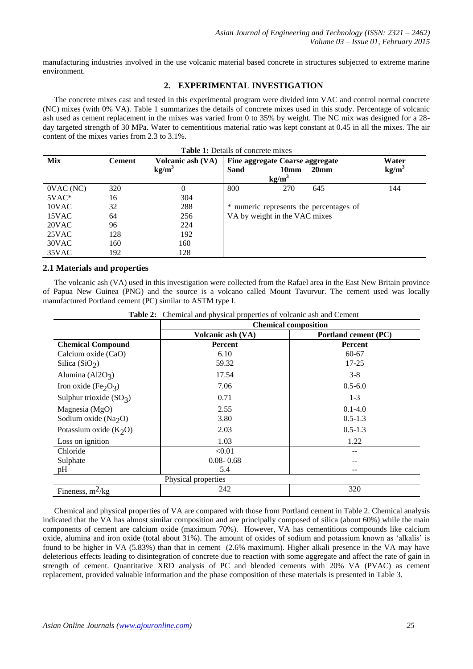manufacturing industries involved in the use volcanic material based concrete in structures subjected to extreme marine environment.

# **2. EXPERIMENTAL INVESTIGATION**

The concrete mixes cast and tested in this experimental program were divided into VAC and control normal concrete (NC) mixes (with 0% VA). Table 1 summarizes the details of concrete mixes used in this study. Percentage of volcanic ash used as cement replacement in the mixes was varied from 0 to 35% by weight. The NC mix was designed for a 28 day targeted strength of 30 MPa. Water to cementitious material ratio was kept constant at 0.45 in all the mixes. The air content of the mixes varies from 2.3 to 3.1%.

| <b>Table 1:</b> Details of concrete mixes |               |                                        |      |                                                                          |                                         |                            |  |
|-------------------------------------------|---------------|----------------------------------------|------|--------------------------------------------------------------------------|-----------------------------------------|----------------------------|--|
| <b>Mix</b>                                | <b>Cement</b> | Volcanic ash (VA)<br>kg/m <sup>3</sup> | Sand | Fine aggregate Coarse aggregate<br>10 <sub>mm</sub><br>kg/m <sup>3</sup> | 20 <sub>mm</sub>                        | Water<br>kg/m <sup>3</sup> |  |
| 0VAC(NC)                                  | 320           |                                        | 800  | 270                                                                      | 645                                     | 144                        |  |
| $5VAC*$                                   | 16            | 304                                    |      |                                                                          |                                         |                            |  |
| 10VAC                                     | 32            | 288                                    |      |                                                                          | * numeric represents the percentages of |                            |  |
| 15VAC                                     | 64            | 256                                    |      | VA by weight in the VAC mixes                                            |                                         |                            |  |
| 20VAC                                     | 96            | 224                                    |      |                                                                          |                                         |                            |  |
| 25VAC                                     | 128           | 192                                    |      |                                                                          |                                         |                            |  |
| 30VAC                                     | 160           | 160                                    |      |                                                                          |                                         |                            |  |
| 35VAC                                     | 192           | 128                                    |      |                                                                          |                                         |                            |  |

## **2.1 Materials and properties**

The volcanic ash (VA) used in this investigation were collected from the Rafael area in the East New Britain province of Papua New Guinea (PNG) and the source is a volcano called Mount Tavurvur. The cement used was locally manufactured Portland cement (PC) similar to ASTM type I.

|                                              | <b>Chemical composition</b> |                      |  |  |  |
|----------------------------------------------|-----------------------------|----------------------|--|--|--|
|                                              | Volcanic ash (VA)           | Portland cement (PC) |  |  |  |
| <b>Chemical Compound</b>                     | <b>Percent</b>              | Percent              |  |  |  |
| Calcium oxide (CaO)                          | 6.10                        | $60 - 67$            |  |  |  |
| Silica (SiO <sub>2</sub> )                   | 59.32                       | $17 - 25$            |  |  |  |
| Alumina (Al2O <sub>3</sub> )                 | 17.54                       | $3 - 8$              |  |  |  |
| Iron oxide (Fe <sub>2</sub> O <sub>3</sub> ) | 7.06                        | $0.5 - 6.0$          |  |  |  |
| Sulphur trioxide $(SO3)$                     | 0.71                        | $1-3$                |  |  |  |
| Magnesia (MgO)                               | 2.55                        | $0.1 - 4.0$          |  |  |  |
| Sodium oxide ( $Na2O$ )                      | 3.80                        | $0.5 - 1.3$          |  |  |  |
| Potassium oxide $(K_2O)$                     | 2.03                        | $0.5 - 1.3$          |  |  |  |
| Loss on ignition                             | 1.03                        | 1.22                 |  |  |  |
| Chloride                                     | < 0.01                      | --                   |  |  |  |
| Sulphate                                     | $0.08 - 0.68$               | --                   |  |  |  |
| pH                                           | 5.4                         | --                   |  |  |  |
|                                              | Physical properties         |                      |  |  |  |
| Fineness, $m^2/kg$                           | 242                         | 320                  |  |  |  |

**Table 2:** Chemical and physical properties of volcanic ash and Cement

Chemical and physical properties of VA are compared with those from Portland cement in Table 2. Chemical analysis indicated that the VA has almost similar composition and are principally composed of silica (about 60%) while the main components of cement are calcium oxide (maximum 70%). However, VA has cementitious compounds like calcium oxide, alumina and iron oxide (total about 31%). The amount of oxides of sodium and potassium known as "alkalis" is found to be higher in VA (5.83%) than that in cement (2.6% maximum). Higher alkali presence in the VA may have deleterious effects leading to disintegration of concrete due to reaction with some aggregate and affect the rate of gain in strength of cement. Quantitative XRD analysis of PC and blended cements with 20% VA (PVAC) as cement replacement, provided valuable information and the phase composition of these materials is presented in Table 3.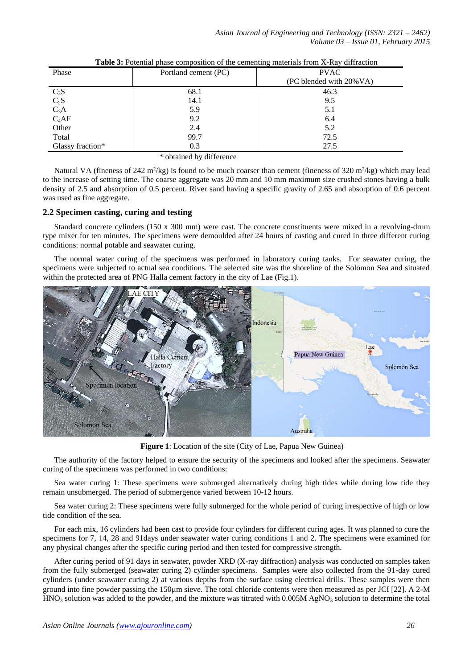*Asian Journal of Engineering and Technology (ISSN: 2321 – 2462) Volume 03 – Issue 01, February 2015*

| Phase                                             | Portland cement (PC) | <b>PVAC</b>             |  |  |
|---------------------------------------------------|----------------------|-------------------------|--|--|
|                                                   |                      | (PC blended with 20%VA) |  |  |
| $\begin{array}{c} C_3S\\ C_2S\\ C_3A \end{array}$ | 68.1                 | 46.3                    |  |  |
|                                                   | 14.1                 | 9.5                     |  |  |
|                                                   | 5.9                  | 5.1                     |  |  |
| $C_4AF$                                           | 9.2                  | 6.4                     |  |  |
| Other                                             | 2.4                  | 5.2                     |  |  |
| Total                                             | 99.7                 | 72.5                    |  |  |
| Glassy fraction*                                  | 0.3                  | 27.5                    |  |  |

| <b>Table 3:</b> Potential phase composition of the cementing materials from X-Ray diffraction |  |  |  |
|-----------------------------------------------------------------------------------------------|--|--|--|
|                                                                                               |  |  |  |

\* obtained by difference

Natural VA (fineness of 242 m<sup>2</sup>/kg) is found to be much coarser than cement (fineness of 320 m<sup>2</sup>/kg) which may lead to the increase of setting time. The coarse aggregate was 20 mm and 10 mm maximum size crushed stones having a bulk density of 2.5 and absorption of 0.5 percent. River sand having a specific gravity of 2.65 and absorption of 0.6 percent was used as fine aggregate.

# **2.2 Specimen casting, curing and testing**

Standard concrete cylinders (150 x 300 mm) were cast. The concrete constituents were mixed in a revolving-drum type mixer for ten minutes. The specimens were demoulded after 24 hours of casting and cured in three different curing conditions: normal potable and seawater curing.

The normal water curing of the specimens was performed in laboratory curing tanks. For seawater curing, the specimens were subjected to actual sea conditions. The selected site was the shoreline of the Solomon Sea and situated within the protected area of PNG Halla cement factory in the city of Lae (Fig.1).



**Figure 1**: Location of the site (City of Lae, Papua New Guinea)

The authority of the factory helped to ensure the security of the specimens and looked after the specimens. Seawater curing of the specimens was performed in two conditions:

Sea water curing 1: These specimens were submerged alternatively during high tides while during low tide they remain unsubmerged. The period of submergence varied between 10-12 hours.

Sea water curing 2: These specimens were fully submerged for the whole period of curing irrespective of high or low tide condition of the sea.

For each mix, 16 cylinders had been cast to provide four cylinders for different curing ages. It was planned to cure the specimens for 7, 14, 28 and 91days under seawater water curing conditions 1 and 2. The specimens were examined for any physical changes after the specific curing period and then tested for compressive strength.

After curing period of 91 days in seawater, powder XRD (X-ray diffraction) analysis was conducted on samples taken from the fully submerged (seawater curing 2) cylinder specimens. Samples were also collected from the 91-day cured cylinders (under seawater curing 2) at various depths from the surface using electrical drills. These samples were then ground into fine powder passing the 150 µm sieve. The total chloride contents were then measured as per JCI [22]. A 2-M  $HNO<sub>3</sub>$  solution was added to the powder, and the mixture was titrated with 0.005M AgNO<sub>3</sub> solution to determine the total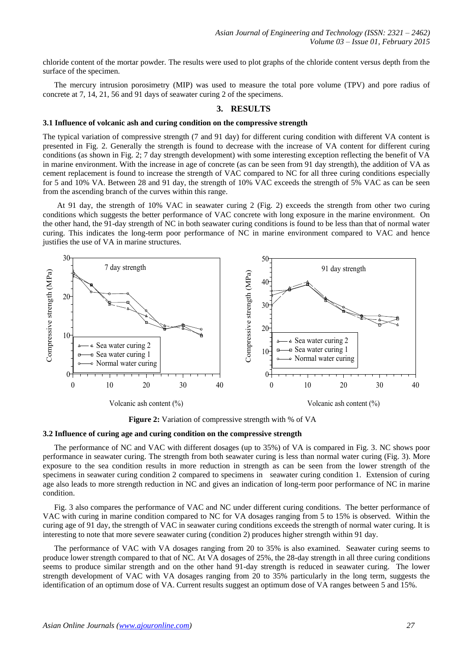chloride content of the mortar powder. The results were used to plot graphs of the chloride content versus depth from the surface of the specimen.

The mercury intrusion porosimetry (MIP) was used to measure the total pore volume (TPV) and pore radius of concrete at 7, 14, 21, 56 and 91 days of seawater curing 2 of the specimens.

## **3. RESULTS**

## **3.1 Influence of volcanic ash and curing condition on the compressive strength**

The typical variation of compressive strength (7 and 91 day) for different curing condition with different VA content is presented in Fig. 2. Generally the strength is found to decrease with the increase of VA content for different curing conditions (as shown in Fig. 2; 7 day strength development) with some interesting exception reflecting the benefit of VA in marine environment. With the increase in age of concrete (as can be seen from 91 day strength), the addition of VA as cement replacement is found to increase the strength of VAC compared to NC for all three curing conditions especially for 5 and 10% VA. Between 28 and 91 day, the strength of 10% VAC exceeds the strength of 5% VAC as can be seen from the ascending branch of the curves within this range.

At 91 day, the strength of 10% VAC in seawater curing 2 (Fig. 2) exceeds the strength from other two curing conditions which suggests the better performance of VAC concrete with long exposure in the marine environment. On the other hand, the 91-day strength of NC in both seawater curing conditions is found to be less than that of normal water curing. This indicates the long-term poor performance of NC in marine environment compared to VAC and hence justifies the use of VA in marine structures.



**Figure 2:** Variation of compressive strength with % of VA

#### **3.2 Influence of curing age and curing condition on the compressive strength**

The performance of NC and VAC with different dosages (up to 35%) of VA is compared in Fig. 3. NC shows poor performance in seawater curing. The strength from both seawater curing is less than normal water curing (Fig. 3). More exposure to the sea condition results in more reduction in strength as can be seen from the lower strength of the specimens in seawater curing condition 2 compared to specimens in seawater curing condition 1. Extension of curing age also leads to more strength reduction in NC and gives an indication of long-term poor performance of NC in marine condition.

Fig. 3 also compares the performance of VAC and NC under different curing conditions. The better performance of VAC with curing in marine condition compared to NC for VA dosages ranging from 5 to 15% is observed. Within the curing age of 91 day, the strength of VAC in seawater curing conditions exceeds the strength of normal water curing. It is interesting to note that more severe seawater curing (condition 2) produces higher strength within 91 day.

The performance of VAC with VA dosages ranging from 20 to 35% is also examined. Seawater curing seems to produce lower strength compared to that of NC. At VA dosages of 25%, the 28-day strength in all three curing conditions seems to produce similar strength and on the other hand 91-day strength is reduced in seawater curing. The lower strength development of VAC with VA dosages ranging from 20 to 35% particularly in the long term, suggests the identification of an optimum dose of VA. Current results suggest an optimum dose of VA ranges between 5 and 15%.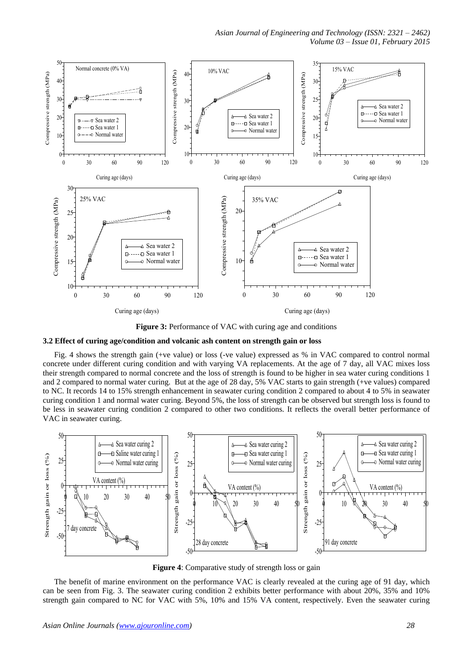

**Figure 3:** Performance of VAC with curing age and conditions

#### **3.2 Effect of curing age/condition and volcanic ash content on strength gain or loss**

Fig. 4 shows the strength gain (+ve value) or loss (-ve value) expressed as % in VAC compared to control normal concrete under different curing condition and with varying VA replacements. At the age of 7 day, all VAC mixes loss their strength compared to normal concrete and the loss of strength is found to be higher in sea water curing conditions 1 and 2 compared to normal water curing. But at the age of 28 day, 5% VAC starts to gain strength (+ve values) compared to NC. It records 14 to 15% strength enhancement in seawater curing condition 2 compared to about 4 to 5% in seawater curing condition 1 and normal water curing. Beyond 5%, the loss of strength can be observed but strength loss is found to be less in seawater curing condition 2 compared to other two conditions. It reflects the overall better performance of VAC in seawater curing.



**Figure 4**: Comparative study of strength loss or gain

The benefit of marine environment on the performance VAC is clearly revealed at the curing age of 91 day, which can be seen from Fig. 3. The seawater curing condition 2 exhibits better performance with about 20%, 35% and 10% strength gain compared to NC for VAC with 5%, 10% and 15% VA content, respectively. Even the seawater curing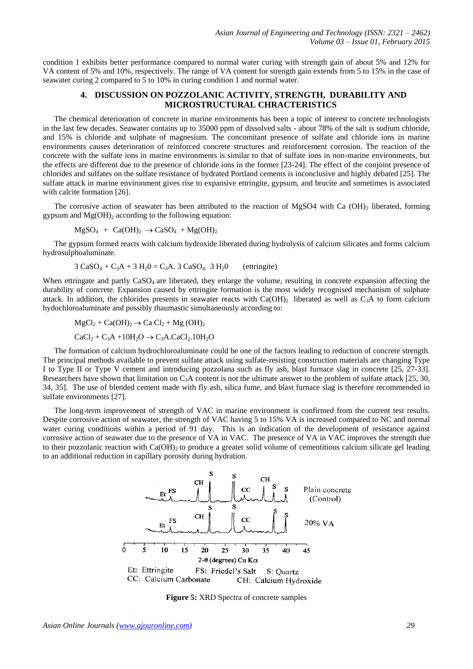condition 1 exhibits better performance compared to normal water curing with strength gain of about 5% and 12% for VA content of 5% and 10%, respectively. The range of VA content for strength gain extends from 5 to 15% in the case of seawater curing 2 compared to 5 to 10% in curing condition 1 and normal water.

# **4. DISCUSSION ON POZZOLANIC ACTIVITY, STRENGTH, DURABILITY AND MICROSTRUCTURAL CHRACTERISTICS**

The chemical deterioration of concrete in marine environments has been a topic of interest to concrete technologists in the last few decades. Seawater contains up to 35000 ppm of dissolved salts - about 78% of the salt is sodium chloride, and 15% is chloride and sulphate of magnesium. The concomitant presence of sulfate and chloride ions in marine environments causes deterioration of reinforced concrete structures and reinforcement corrosion. The reaction of the concrete with the sulfate ions in marine environments is similar to that of sulfate ions in non-marine environments, but the effects are different due to the presence of chloride ions in the former [23-24]. The effect of the conjoint presence of chlorides and sulfates on the sulfate resistance of hydrated Portland cements is inconclusive and highly debated [25]. The sulfate attack in marine environment gives rise to expansive ettringite, gypsum, and brucite and sometimes is associated with calcite formation [26].

The corrosive action of seawater has been attributed to the reaction of MgSO4 with Ca (OH)<sub>2</sub> liberated, forming gypsum and  $Mg(OH)$ <sub>2</sub> according to the following equation:

$$
MgSO_4 + Ca(OH)_2 \rightarrow CaSO_4 + Mg(OH)_2
$$

The gypsum formed reacts with calcium hydroxide liberated during hydrolysis of calcium silicates and forms calcium hydrosulphoaluminate.

$$
3 CaSO4 + C3A + 3 H20 = C3A. 3 CaSO4 3 H20 (ettrinsic)
$$

When ettringate and partly  $CaSO<sub>4</sub>$  are liberated, they enlarge the volume, resulting in concrete expansion affecting the durability of concrete. Expansion caused by ettringite formation is the most widely recognised mechanism of sulphate attack. In addition, the chlorides presents in seawater reacts with  $Ca(OH)_2$  liberated as well as  $C_3A$  to form calcium hydochloroaluminate and possibly thaumastic simultaneously according to:

$$
MgCl2 + Ca(OH)2 \rightarrow Ca Cl2 + Mg (OH)2
$$
  
CaCl<sub>2</sub> + C<sub>3</sub>A +10H<sub>2</sub>O  $\rightarrow$  C<sub>3</sub>A.CaCl<sub>2</sub>.10H<sub>2</sub>O

The formation of calcium hydrochloroaluminate could be one of the factors leading to reduction of concrete strength. The principal methods available to prevent sulfate attack using sulfate-resisting construction materials are changing Type I to Type II or Type V cement and introducing pozzolana such as fly ash, blast furnace slag in concrete [25, 27-33]. Researchers have shown that limitation on  $C_3A$  content is not the ultimate answer to the problem of sulfate attack [25, 30, 34, 35]. The use of blended cement made with fly ash, silica fume, and blast furnace slag is therefore recommended in sulfate environments [27].

The long-term improvement of strength of VAC in marine environment is confirmed from the current test results. Despite corrosive action of seawater, the strength of VAC having 5 to 15% VA is increased compared to NC and normal water curing conditions within a period of 91 day. This is an indication of the development of resistance against corrosive action of seawater due to the presence of VA in VAC. The presence of VA in VAC improves the strength due to their pozzolanic reaction with  $Ca(OH)_2$  to produce a greater solid volume of cementitious calcium silicate gel leading to an additional reduction in capillary porosity during hydration.



**Figure 5:** XRD Spectra of concrete samples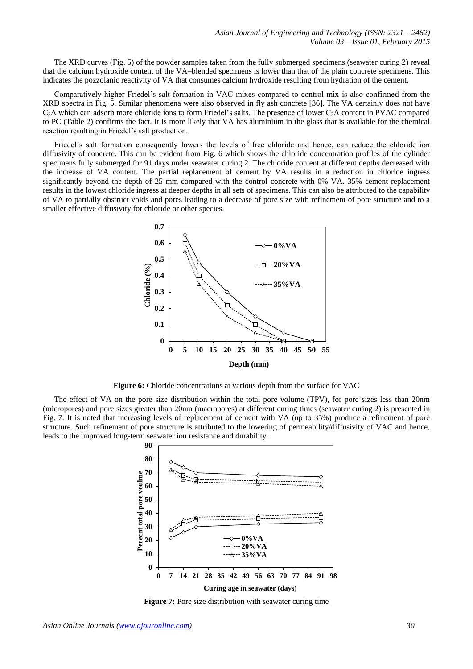The XRD curves (Fig. 5) of the powder samples taken from the fully submerged specimens (seawater curing 2) reveal that the calcium hydroxide content of the VA–blended specimens is lower than that of the plain concrete specimens. This indicates the pozzolanic reactivity of VA that consumes calcium hydroxide resulting from hydration of the cement.

Comparatively higher Friedel"s salt formation in VAC mixes compared to control mix is also confirmed from the XRD spectra in Fig. 5. Similar phenomena were also observed in fly ash concrete [36]. The VA certainly does not have  $C_3$ A which can adsorb more chloride ions to form Friedel's salts. The presence of lower  $C_3$ A content in PVAC compared to PC (Table 2) confirms the fact. It is more likely that VA has aluminium in the glass that is available for the chemical reaction resulting in Friedel"s salt production.

Friedel"s salt formation consequently lowers the levels of free chloride and hence, can reduce the chloride ion diffusivity of concrete. This can be evident from Fig. 6 which shows the chloride concentration profiles of the cylinder specimens fully submerged for 91 days under seawater curing 2. The chloride content at different depths decreased with the increase of VA content. The partial replacement of cement by VA results in a reduction in chloride ingress significantly beyond the depth of 25 mm compared with the control concrete with 0% VA. 35% cement replacement results in the lowest chloride ingress at deeper depths in all sets of specimens. This can also be attributed to the capability of VA to partially obstruct voids and pores leading to a decrease of pore size with refinement of pore structure and to a smaller effective diffusivity for chloride or other species.



**Figure 6:** Chloride concentrations at various depth from the surface for VAC

The effect of VA on the pore size distribution within the total pore volume (TPV), for pore sizes less than 20nm (micropores) and pore sizes greater than 20nm (macropores) at different curing times (seawater curing 2) is presented in Fig. 7. It is noted that increasing levels of replacement of cement with VA (up to 35%) produce a refinement of pore structure. Such refinement of pore structure is attributed to the lowering of permeability/diffusivity of VAC and hence, leads to the improved long-term seawater ion resistance and durability.



**Figure 7:** Pore size distribution with seawater curing time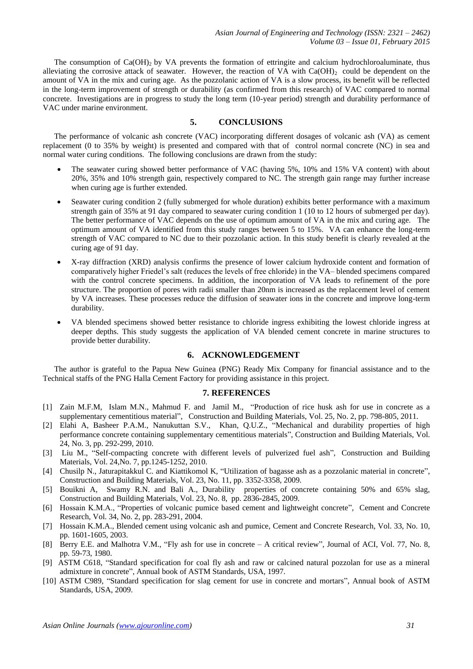The consumption of  $Ca(OH)_2$  by VA prevents the formation of ettringite and calcium hydrochloroaluminate, thus alleviating the corrosive attack of seawater. However, the reaction of VA with  $Ca(OH)$  could be dependent on the amount of VA in the mix and curing age. As the pozzolanic action of VA is a slow process, its benefit will be reflected in the long-term improvement of strength or durability (as confirmed from this research) of VAC compared to normal concrete. Investigations are in progress to study the long term (10-year period) strength and durability performance of VAC under marine environment.

# **5. CONCLUSIONS**

The performance of volcanic ash concrete (VAC) incorporating different dosages of volcanic ash (VA) as cement replacement (0 to 35% by weight) is presented and compared with that of control normal concrete (NC) in sea and normal water curing conditions. The following conclusions are drawn from the study:

- The seawater curing showed better performance of VAC (having 5%, 10% and 15% VA content) with about 20%, 35% and 10% strength gain, respectively compared to NC. The strength gain range may further increase when curing age is further extended.
- Seawater curing condition 2 (fully submerged for whole duration) exhibits better performance with a maximum strength gain of 35% at 91 day compared to seawater curing condition 1 (10 to 12 hours of submerged per day). The better performance of VAC depends on the use of optimum amount of VA in the mix and curing age. The optimum amount of VA identified from this study ranges between 5 to 15%. VA can enhance the long-term strength of VAC compared to NC due to their pozzolanic action. In this study benefit is clearly revealed at the curing age of 91 day.
- X-ray diffraction (XRD) analysis confirms the presence of lower calcium hydroxide content and formation of comparatively higher Friedel"s salt (reduces the levels of free chloride) in the VA– blended specimens compared with the control concrete specimens. In addition, the incorporation of VA leads to refinement of the pore structure. The proportion of pores with radii smaller than 20nm is increased as the replacement level of cement by VA increases. These processes reduce the diffusion of seawater ions in the concrete and improve long-term durability.
- VA blended specimens showed better resistance to chloride ingress exhibiting the lowest chloride ingress at deeper depths. This study suggests the application of VA blended cement concrete in marine structures to provide better durability.

# **6. ACKNOWLEDGEMENT**

The author is grateful to the Papua New Guinea (PNG) Ready Mix Company for financial assistance and to the Technical staffs of the PNG Halla Cement Factory for providing assistance in this project.

## **7. REFERENCES**

- [1] Zain M.F.M, Islam M.N., Mahmud F. and Jamil M., "Production of rice husk ash for use in concrete as a [supplementary cementitious material"](http://www.sciencedirect.com/science?_ob=ArticleURL&_udi=B6V2G-50SG9XM-1&_user=10&_coverDate=02%2F28%2F2011&_alid=1593768237&_rdoc=1&_fmt=high&_orig=search&_origin=search&_zone=rslt_list_item&_cdi=5702&_sort=r&_st=13&_docanchor=&view=c&_ct=3230&_acct=C000050221&_version=1&_urlVersion=0&_userid=10&md5=4c3f811209d4744d5341974d138620de&searchtype=a), Construction and Building Materials, Vol. 25, No. 2, pp. 798-805, 2011*.*
- [2] Elahi A, Basheer P.A.M., Nanukuttan S.V., Khan, Q.U.Z., "Mechanical and durability properties of high performance concrete containing supplementary cementitious materials", Construction and Building Materials, Vol. 24, No. 3, pp. 292-299, 2010.
- [3] Liu M., ["Self-compacting concrete with different levels of pulverized fuel ash",](http://www.sciencedirect.com/science?_ob=ArticleURL&_udi=B6V2G-4Y52J0W-2&_user=10&_coverDate=07%2F31%2F2010&_alid=1593761809&_rdoc=27&_fmt=high&_orig=search&_origin=search&_zone=rslt_list_item&_cdi=5702&_sort=r&_st=13&_docanchor=&view=c&_ct=6920&_acct=C000050221&_version=1&_urlVersion=0&_userid=10&md5=095b2bbed27aa2bcd897835f95fbed4f&searchtype=a) Construction and Building Materials, Vol. 24,No. 7, pp.1245-1252, 2010.
- [4] Chusilp N., Jaturapitakkul C. and Kiattikomol K, "Utilization of bagasse ash as a pozzolanic material in concrete", Construction and Building Materials, Vol. 23, No. 11, pp. 3352-3358, 2009.
- [5] Bouikni A, Swamy R.N. and Bali A., Durability [properties of concrete containing 50% and 65% slag,](http://www.sciencedirect.com/science?_ob=ArticleURL&_udi=B6V2G-4VY6FRF-1&_user=10&_coverDate=08%2F31%2F2009&_alid=1593604860&_rdoc=7&_fmt=high&_orig=search&_origin=search&_zone=rslt_list_item&_cdi=5702&_sort=r&_st=13&_docanchor=&view=c&_ct=326&_acct=C000050221&_version=1&_urlVersion=0&_userid=10&md5=5fb3a6ed160a5ef0aa29d499747c1dd8&searchtype=a) Construction and Building Materials, Vol. 23, No. 8, pp. 2836-2845, 2009.
- [6] Hossain K.M.A., "Properties of volcanic pumice based cement and lightweight concrete", Cement and Concrete Research, Vol. 34, No. 2, pp. 283-291, 2004.
- [7] Hossain K.M.A., Blended cement using volcanic ash and pumice, Cement and Concrete Research, Vol. 33, No. 10, pp. 1601-1605, 2003.
- [8] Berry E.E. and Malhotra V.M., "Fly ash for use in concrete A critical review", Journal of ACI, Vol. 77, No. 8, pp. 59-73, 1980.
- [9] ASTM C618, "Standard specification for coal fly ash and raw or calcined natural pozzolan for use as a mineral admixture in concrete", Annual book of ASTM Standards, USA, 1997.
- [10] ASTM C989, "Standard specification for slag cement for use in concrete and mortars", Annual book of ASTM Standards, USA, 2009.